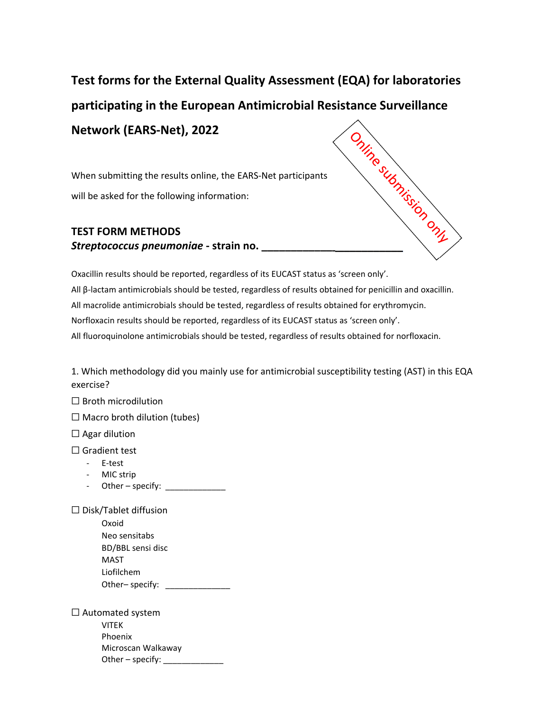## **Test forms for the External Quality Assessment (EQA) for laboratories participating in the European Antimicrobial Resistance Surveillance Network (EARS‐Net), 2022 Network (L.**<br>
When submitting the results online, the EARS-Net put<br>
will be asked for the following information:<br> **TEST FORM METHODS**<br> **Streptococcus pneumoniae** - strain no.

When submitting the results online, the EARS‐Net participants will be asked for the following information:

## **TEST FORM METHODS**

Oxacillin results should be reported, regardless of its EUCAST status as 'screen only'. All β‐lactam antimicrobials should be tested, regardless of results obtained for penicillin and oxacillin. All macrolide antimicrobials should be tested, regardless of results obtained for erythromycin. Norfloxacin results should be reported, regardless of its EUCAST status as 'screen only'. All fluoroquinolone antimicrobials should be tested, regardless of results obtained for norfloxacin.

1. Which methodology did you mainly use for antimicrobial susceptibility testing (AST) in this EQA exercise?

☐ Broth microdilution

 $\Box$  Macro broth dilution (tubes)

 $\Box$  Agar dilution

□ Gradient test

- ‐ E‐test
- ‐ MIC strip
- Other specify:  $\sqrt{\frac{2}{n}}$

☐ Disk/Tablet diffusion

| Oxoid             |  |
|-------------------|--|
| Neo sensitabs     |  |
| BD/BBL sensi disc |  |
| MAST              |  |
| Liofilchem        |  |
| Other-specify:    |  |

 $\Box$  Automated system VITEK Phoenix Microscan Walkaway Other – specify:  $\_\_$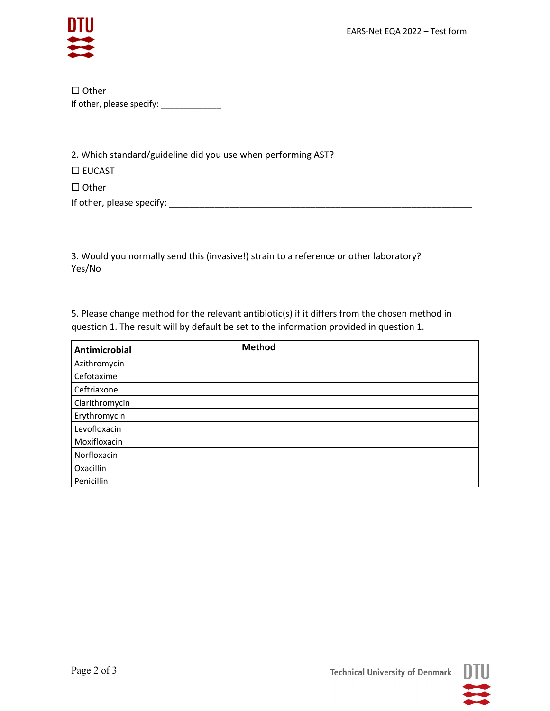

☐ Other If other, please specify: \_\_\_\_\_\_\_\_\_\_\_\_\_

2. Which standard/guideline did you use when performing AST?

☐ EUCAST

☐ Other

If other, please specify: \_\_\_\_\_\_\_\_\_\_\_\_\_\_\_\_\_\_\_\_\_\_\_\_\_\_\_\_\_\_\_\_\_\_\_\_\_\_\_\_\_\_\_\_\_\_\_\_\_\_\_\_\_\_\_\_\_\_\_\_

3. Would you normally send this (invasive!) strain to a reference or other laboratory? Yes/No

5. Please change method for the relevant antibiotic(s) if it differs from the chosen method in question 1. The result will by default be set to the information provided in question 1.

| <b>Antimicrobial</b> | <b>Method</b> |
|----------------------|---------------|
| Azithromycin         |               |
| Cefotaxime           |               |
| Ceftriaxone          |               |
| Clarithromycin       |               |
| Erythromycin         |               |
| Levofloxacin         |               |
| Moxifloxacin         |               |
| Norfloxacin          |               |
| Oxacillin            |               |
| Penicillin           |               |